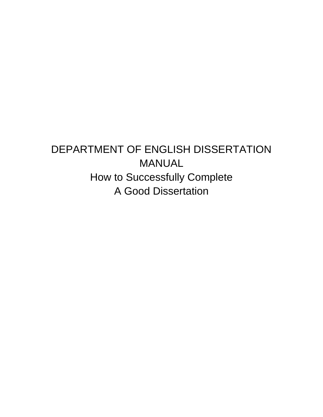# DEPARTMENT OF ENGLISH DISSERTATION MANUAL How to Successfully Complete A Good Dissertation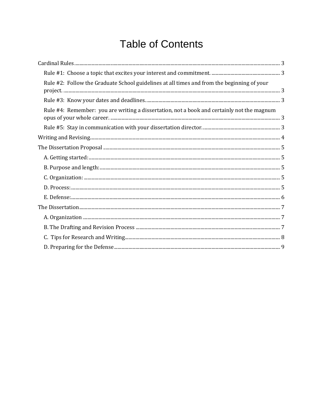## **Table of Contents**

| Rule #2: Follow the Graduate School guidelines at all times and from the beginning of your |  |
|--------------------------------------------------------------------------------------------|--|
|                                                                                            |  |
| Rule #4: Remember: you are writing a dissertation, not a book and certainly not the magnum |  |
|                                                                                            |  |
| $\hbox{Writing and Revising.}\label{lem:2.1} \vspace{-0.1cm} \vspace{-0.1cm}$              |  |
|                                                                                            |  |
|                                                                                            |  |
|                                                                                            |  |
|                                                                                            |  |
|                                                                                            |  |
|                                                                                            |  |
|                                                                                            |  |
|                                                                                            |  |
|                                                                                            |  |
|                                                                                            |  |
|                                                                                            |  |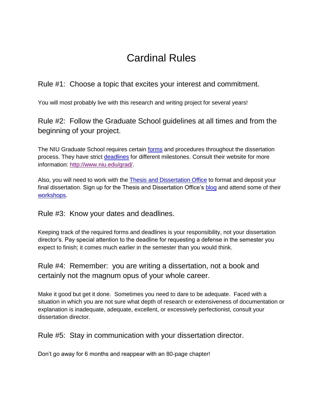## Cardinal Rules

<span id="page-2-1"></span><span id="page-2-0"></span>Rule #1: Choose a topic that excites your interest and commitment.

You will most probably live with this research and writing project for several years!

<span id="page-2-2"></span>Rule #2: Follow the Graduate School guidelines at all times and from the beginning of your project.

The NIU Graduate School requires certain [forms](http://www.niu.edu/grad/resources/student-forms.shtml) and procedures throughout the dissertation process. They have strict [deadlines](http://www.niu.edu/grad/_pdf/graduation-deadlines.pdf) for different milestones. Consult their website for more information: [http://www.niu.edu/grad/.](http://www.niu.edu/grad/)

Also, you will need to work with the [Thesis and Dissertation Office](http://www.niu.edu/grad/thesis/) to format and deposit your final dissertation. Sign up for the Thesis and Dissertation Office's [blog](http://projectthesisniu.blogspot.com/) and attend some of their [workshops.](http://www.niu.edu/grad/thesis/workshops-support.shtml)

<span id="page-2-3"></span>Rule #3: Know your dates and deadlines.

Keeping track of the required forms and deadlines is your responsibility, not your dissertation director's. Pay special attention to the deadline for requesting a defense in the semester you expect to finish; it comes much earlier in the semester than you would think.

<span id="page-2-4"></span>Rule #4: Remember: you are writing a dissertation, not a book and certainly not the magnum opus of your whole career.

Make it good but get it done. Sometimes you need to dare to be adequate. Faced with a situation in which you are not sure what depth of research or extensiveness of documentation or explanation is inadequate, adequate, excellent, or excessively perfectionist, consult your dissertation director.

<span id="page-2-5"></span>Rule #5: Stay in communication with your dissertation director.

Don't go away for 6 months and reappear with an 80-page chapter!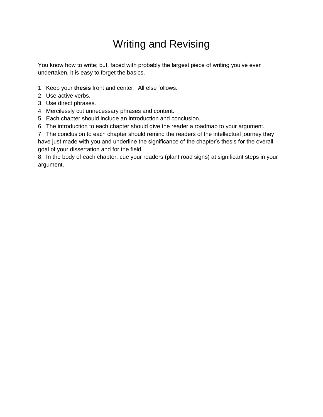# Writing and Revising

<span id="page-3-0"></span>You know how to write; but, faced with probably the largest piece of writing you've ever undertaken, it is easy to forget the basics.

- 1. Keep your **thesis** front and center. All else follows.
- 2. Use active verbs.
- 3. Use direct phrases.
- 4. Mercilessly cut unnecessary phrases and content.
- 5. Each chapter should include an introduction and conclusion.
- 6. The introduction to each chapter should give the reader a roadmap to your argument.

7. The conclusion to each chapter should remind the readers of the intellectual journey they

have just made with you and underline the significance of the chapter's thesis for the overall goal of your dissertation and for the field.

8. In the body of each chapter, cue your readers (plant road signs) at significant steps in your argument.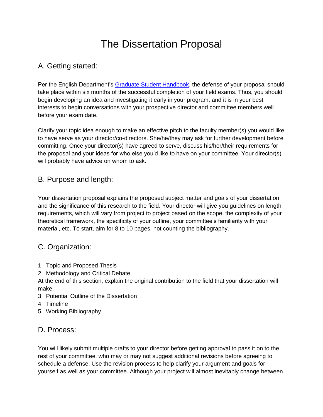## The Dissertation Proposal

### <span id="page-4-1"></span><span id="page-4-0"></span>A. Getting started:

Per the English Department's [Graduate Student Handbook,](http://www.engl.niu.edu/_pdf/grad-pdfs/15handbook.pdf) the defense of your proposal should take place within six months of the successful completion of your field exams. Thus, you should begin developing an idea and investigating it early in your program, and it is in your best interests to begin conversations with your prospective director and committee members well before your exam date.

Clarify your topic idea enough to make an effective pitch to the faculty member(s) you would like to have serve as your director/co-directors. She/he/they may ask for further development before committing. Once your director(s) have agreed to serve, discuss his/her/their requirements for the proposal and your ideas for who else you'd like to have on your committee. Your director(s) will probably have advice on whom to ask.

#### <span id="page-4-2"></span>B. Purpose and length:

Your dissertation proposal explains the proposed subject matter and goals of your dissertation and the significance of this research to the field. Your director will give you guidelines on length requirements, which will vary from project to project based on the scope, the complexity of your theoretical framework, the specificity of your outline, your committee's familiarity with your material, etc. To start, aim for 8 to 10 pages, not counting the bibliography.

### <span id="page-4-3"></span>C. Organization:

- 1. Topic and Proposed Thesis
- 2. Methodology and Critical Debate

At the end of this section, explain the original contribution to the field that your dissertation will make.

- 3. Potential Outline of the Dissertation
- 4. Timeline
- 5. Working Bibliography

#### <span id="page-4-4"></span>D. Process:

You will likely submit multiple drafts to your director before getting approval to pass it on to the rest of your committee, who may or may not suggest additional revisions before agreeing to schedule a defense. Use the revision process to help clarify your argument and goals for yourself as well as your committee. Although your project will almost inevitably change between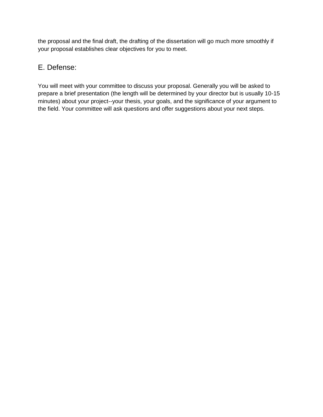the proposal and the final draft, the drafting of the dissertation will go much more smoothly if your proposal establishes clear objectives for you to meet.

#### <span id="page-5-0"></span>E. Defense:

You will meet with your committee to discuss your proposal. Generally you will be asked to prepare a brief presentation (the length will be determined by your director but is usually 10-15 minutes) about your project--your thesis, your goals, and the significance of your argument to the field. Your committee will ask questions and offer suggestions about your next steps.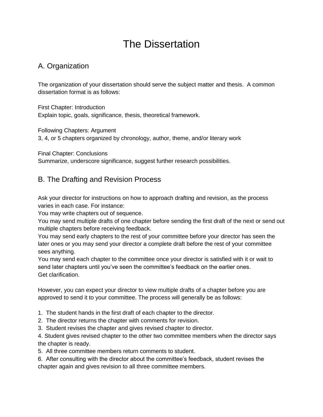## The Dissertation

## <span id="page-6-1"></span><span id="page-6-0"></span>A. Organization

The organization of your dissertation should serve the subject matter and thesis. A common dissertation format is as follows:

First Chapter: Introduction Explain topic, goals, significance, thesis, theoretical framework.

Following Chapters: Argument 3, 4, or 5 chapters organized by chronology, author, theme, and/or literary work

Final Chapter: Conclusions

Summarize, underscore significance, suggest further research possibilities.

### <span id="page-6-2"></span>B. The Drafting and Revision Process

Ask your director for instructions on how to approach drafting and revision, as the process varies in each case. For instance:

You may write chapters out of sequence.

You may send multiple drafts of one chapter before sending the first draft of the next or send out multiple chapters before receiving feedback.

You may send early chapters to the rest of your committee before your director has seen the later ones or you may send your director a complete draft before the rest of your committee sees anything.

You may send each chapter to the committee once your director is satisfied with it or wait to send later chapters until you've seen the committee's feedback on the earlier ones. Get clarification.

However, you can expect your director to view multiple drafts of a chapter before you are approved to send it to your committee. The process will generally be as follows:

- 1. The student hands in the first draft of each chapter to the director.
- 2. The director returns the chapter with comments for revision.
- 3. Student revises the chapter and gives revised chapter to director.

4. Student gives revised chapter to the other two committee members when the director says the chapter is ready.

5. All three committee members return comments to student.

6. After consulting with the director about the committee's feedback, student revises the chapter again and gives revision to all three committee members.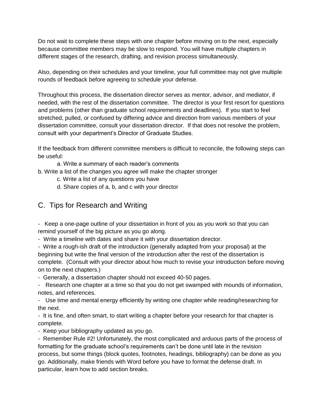Do not wait to complete these steps with one chapter before moving on to the next, especially because committee members may be slow to respond. You will have multiple chapters in different stages of the research, drafting, and revision process simultaneously.

Also, depending on their schedules and your timeline, your full committee may not give multiple rounds of feedback before agreeing to schedule your defense.

Throughout this process, the dissertation director serves as mentor, advisor, and mediator, if needed, with the rest of the dissertation committee. The director is your first resort for questions and problems (other than graduate school requirements and deadlines). If you start to feel stretched, pulled, or confused by differing advice and direction from various members of your dissertation committee, consult your dissertation director. If that does not resolve the problem, consult with your department's Director of Graduate Studies.

If the feedback from different committee members is difficult to reconcile, the following steps can be useful:

a. Write a summary of each reader's comments

b. Write a list of the changes you agree will make the chapter stronger

- c. Write a list of any questions you have
- d. Share copies of a, b, and c with your director

### <span id="page-7-0"></span>C. Tips for Research and Writing

- Keep a one-page outline of your dissertation in front of you as you work so that you can remind yourself of the big picture as you go along.

- Write a timeline with dates and share it with your dissertation director.

- Write a rough-ish draft of the introduction (generally adapted from your proposal) at the beginning but write the final version of the introduction after the rest of the dissertation is complete. (Consult with your director about how much to revise your introduction before moving on to the next chapters.)

- Generally, a dissertation chapter should not exceed 40-50 pages.

- Research one chapter at a time so that you do not get swamped with mounds of information, notes, and references.

- Use time and mental energy efficiently by writing one chapter while reading/researching for the next.

- It is fine, and often smart, to start writing a chapter before your research for that chapter is complete.

- Keep your bibliography updated as you go.

- Remember Rule #2! Unfortunately, the most complicated and arduous parts of the process of formatting for the graduate school's requirements can't be done until late in the revision process, but some things (block quotes, footnotes, headings, bibliography) can be done as you go. Additionally, make friends with Word before you have to format the defense draft. In particular, learn how to add section breaks.